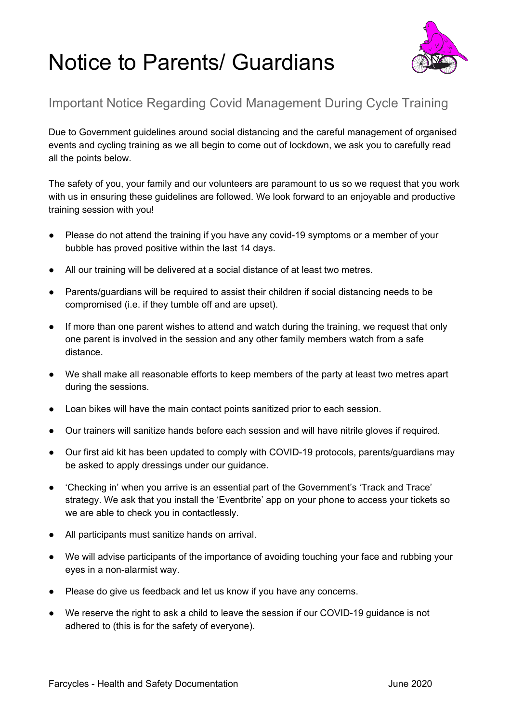## Notice to Parents/ Guardians



## Important Notice Regarding Covid Management During Cycle Training

Due to Government guidelines around social distancing and the careful management of organised events and cycling training as we all begin to come out of lockdown, we ask you to carefully read all the points below.

The safety of you, your family and our volunteers are paramount to us so we request that you work with us in ensuring these quidelines are followed. We look forward to an enjoyable and productive training session with you!

- Please do not attend the training if you have any covid-19 symptoms or a member of your bubble has proved positive within the last 14 days.
- All our training will be delivered at a social distance of at least two metres.
- Parents/guardians will be required to assist their children if social distancing needs to be compromised (i.e. if they tumble off and are upset).
- If more than one parent wishes to attend and watch during the training, we request that only one parent is involved in the session and any other family members watch from a safe distance.
- We shall make all reasonable efforts to keep members of the party at least two metres apart during the sessions.
- Loan bikes will have the main contact points sanitized prior to each session.
- Our trainers will sanitize hands before each session and will have nitrile gloves if required.
- Our first aid kit has been updated to comply with COVID-19 protocols, parents/guardians may be asked to apply dressings under our guidance.
- 'Checking in' when you arrive is an essential part of the Government's 'Track and Trace' strategy. We ask that you install the 'Eventbrite' app on your phone to access your tickets so we are able to check you in contactlessly.
- All participants must sanitize hands on arrival.
- We will advise participants of the importance of avoiding touching your face and rubbing your eyes in a non-alarmist way.
- Please do give us feedback and let us know if you have any concerns.
- We reserve the right to ask a child to leave the session if our COVID-19 guidance is not adhered to (this is for the safety of everyone).